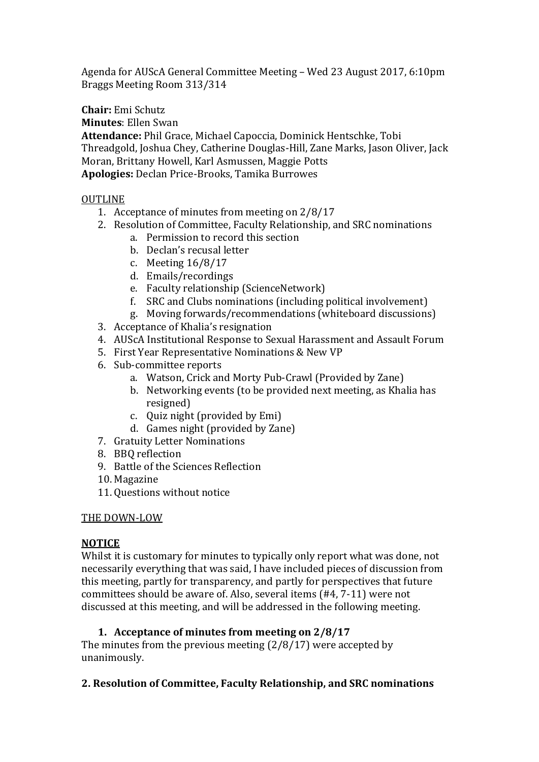Agenda for AUScA General Committee Meeting – Wed 23 August 2017, 6:10pm Braggs Meeting Room 313/314

**Chair:** Emi Schutz

**Minutes**: Ellen Swan

**Attendance:** Phil Grace, Michael Capoccia, Dominick Hentschke, Tobi Threadgold, Joshua Chey, Catherine Douglas-Hill, Zane Marks, Jason Oliver, Jack Moran, Brittany Howell, Karl Asmussen, Maggie Potts **Apologies:** Declan Price-Brooks, Tamika Burrowes

# OUTLINE

- 1. Acceptance of minutes from meeting on 2/8/17
- 2. Resolution of Committee, Faculty Relationship, and SRC nominations
	- a. Permission to record this section
	- b. Declan's recusal letter
	- c. Meeting 16/8/17
	- d. Emails/recordings
	- e. Faculty relationship (ScienceNetwork)
	- f. SRC and Clubs nominations (including political involvement)
	- g. Moving forwards/recommendations (whiteboard discussions)
- 3. Acceptance of Khalia's resignation
- 4. AUScA Institutional Response to Sexual Harassment and Assault Forum
- 5. First Year Representative Nominations & New VP
- 6. Sub-committee reports
	- a. Watson, Crick and Morty Pub-Crawl (Provided by Zane)
		- b. Networking events (to be provided next meeting, as Khalia has resigned)
		- c. Quiz night (provided by Emi)
		- d. Games night (provided by Zane)
- 7. Gratuity Letter Nominations
- 8. BBQ reflection
- 9. Battle of the Sciences Reflection
- 10. Magazine
- 11. Questions without notice

### THE DOWN-LOW

### **NOTICE**

Whilst it is customary for minutes to typically only report what was done, not necessarily everything that was said, I have included pieces of discussion from this meeting, partly for transparency, and partly for perspectives that future committees should be aware of. Also, several items (#4, 7-11) were not discussed at this meeting, and will be addressed in the following meeting.

# **1. Acceptance of minutes from meeting on 2/8/17**

The minutes from the previous meeting (2/8/17) were accepted by unanimously.

### **2. Resolution of Committee, Faculty Relationship, and SRC nominations**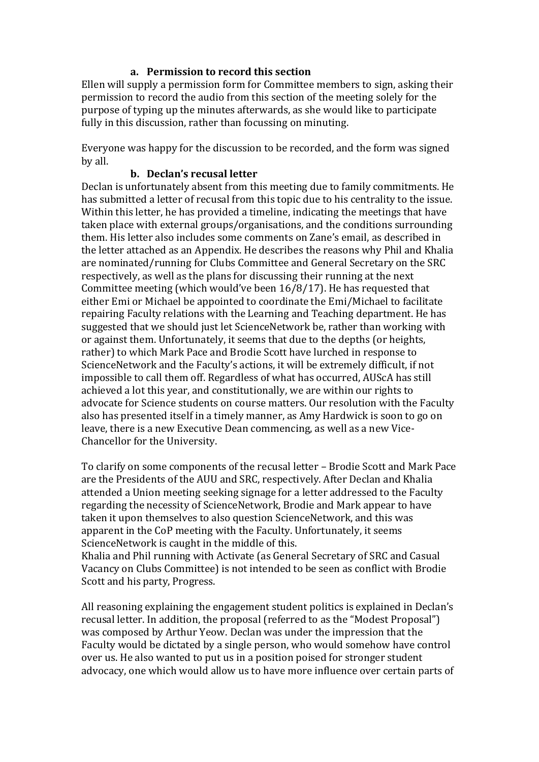### **a. Permission to record this section**

Ellen will supply a permission form for Committee members to sign, asking their permission to record the audio from this section of the meeting solely for the purpose of typing up the minutes afterwards, as she would like to participate fully in this discussion, rather than focussing on minuting.

Everyone was happy for the discussion to be recorded, and the form was signed by all.

### **b. Declan's recusal letter**

Declan is unfortunately absent from this meeting due to family commitments. He has submitted a letter of recusal from this topic due to his centrality to the issue. Within this letter, he has provided a timeline, indicating the meetings that have taken place with external groups/organisations, and the conditions surrounding them. His letter also includes some comments on Zane's email, as described in the letter attached as an Appendix. He describes the reasons why Phil and Khalia are nominated/running for Clubs Committee and General Secretary on the SRC respectively, as well as the plans for discussing their running at the next Committee meeting (which would've been 16/8/17). He has requested that either Emi or Michael be appointed to coordinate the Emi/Michael to facilitate repairing Faculty relations with the Learning and Teaching department. He has suggested that we should just let ScienceNetwork be, rather than working with or against them. Unfortunately, it seems that due to the depths (or heights, rather) to which Mark Pace and Brodie Scott have lurched in response to ScienceNetwork and the Faculty's actions, it will be extremely difficult, if not impossible to call them off. Regardless of what has occurred, AUScA has still achieved a lot this year, and constitutionally, we are within our rights to advocate for Science students on course matters. Our resolution with the Faculty also has presented itself in a timely manner, as Amy Hardwick is soon to go on leave, there is a new Executive Dean commencing, as well as a new Vice-Chancellor for the University.

To clarify on some components of the recusal letter – Brodie Scott and Mark Pace are the Presidents of the AUU and SRC, respectively. After Declan and Khalia attended a Union meeting seeking signage for a letter addressed to the Faculty regarding the necessity of ScienceNetwork, Brodie and Mark appear to have taken it upon themselves to also question ScienceNetwork, and this was apparent in the CoP meeting with the Faculty. Unfortunately, it seems ScienceNetwork is caught in the middle of this.

Khalia and Phil running with Activate (as General Secretary of SRC and Casual Vacancy on Clubs Committee) is not intended to be seen as conflict with Brodie Scott and his party, Progress.

All reasoning explaining the engagement student politics is explained in Declan's recusal letter. In addition, the proposal (referred to as the "Modest Proposal") was composed by Arthur Yeow. Declan was under the impression that the Faculty would be dictated by a single person, who would somehow have control over us. He also wanted to put us in a position poised for stronger student advocacy, one which would allow us to have more influence over certain parts of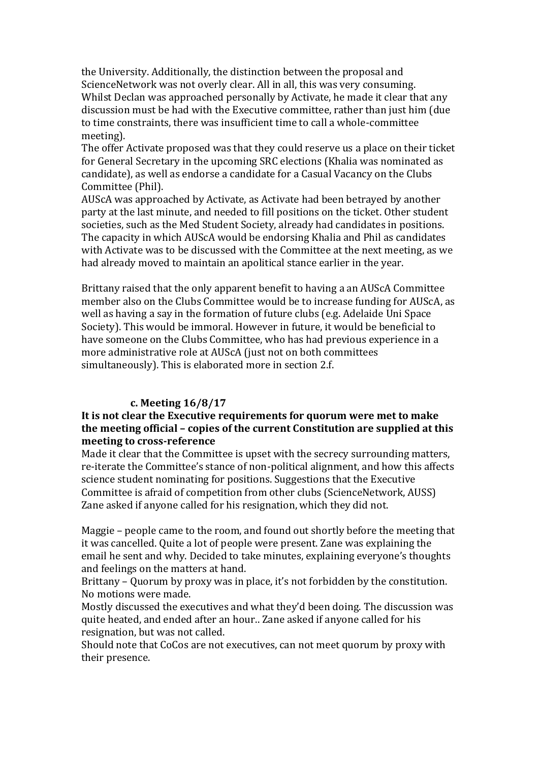the University. Additionally, the distinction between the proposal and ScienceNetwork was not overly clear. All in all, this was very consuming. Whilst Declan was approached personally by Activate, he made it clear that any discussion must be had with the Executive committee, rather than just him (due to time constraints, there was insufficient time to call a whole-committee meeting).

The offer Activate proposed was that they could reserve us a place on their ticket for General Secretary in the upcoming SRC elections (Khalia was nominated as candidate), as well as endorse a candidate for a Casual Vacancy on the Clubs Committee (Phil).

AUScA was approached by Activate, as Activate had been betrayed by another party at the last minute, and needed to fill positions on the ticket. Other student societies, such as the Med Student Society, already had candidates in positions. The capacity in which AUScA would be endorsing Khalia and Phil as candidates with Activate was to be discussed with the Committee at the next meeting, as we had already moved to maintain an apolitical stance earlier in the year.

Brittany raised that the only apparent benefit to having a an AUScA Committee member also on the Clubs Committee would be to increase funding for AUScA, as well as having a say in the formation of future clubs (e.g. Adelaide Uni Space Society). This would be immoral. However in future, it would be beneficial to have someone on the Clubs Committee, who has had previous experience in a more administrative role at AUScA (just not on both committees simultaneously). This is elaborated more in section 2.f.

### **c. Meeting 16/8/17**

### **It is not clear the Executive requirements for quorum were met to make the meeting official – copies of the current Constitution are supplied at this meeting to cross-reference**

Made it clear that the Committee is upset with the secrecy surrounding matters, re-iterate the Committee's stance of non-political alignment, and how this affects science student nominating for positions. Suggestions that the Executive Committee is afraid of competition from other clubs (ScienceNetwork, AUSS) Zane asked if anyone called for his resignation, which they did not.

Maggie – people came to the room, and found out shortly before the meeting that it was cancelled. Quite a lot of people were present. Zane was explaining the email he sent and why. Decided to take minutes, explaining everyone's thoughts and feelings on the matters at hand.

Brittany – Quorum by proxy was in place, it's not forbidden by the constitution. No motions were made.

Mostly discussed the executives and what they'd been doing. The discussion was quite heated, and ended after an hour.. Zane asked if anyone called for his resignation, but was not called.

Should note that CoCos are not executives, can not meet quorum by proxy with their presence.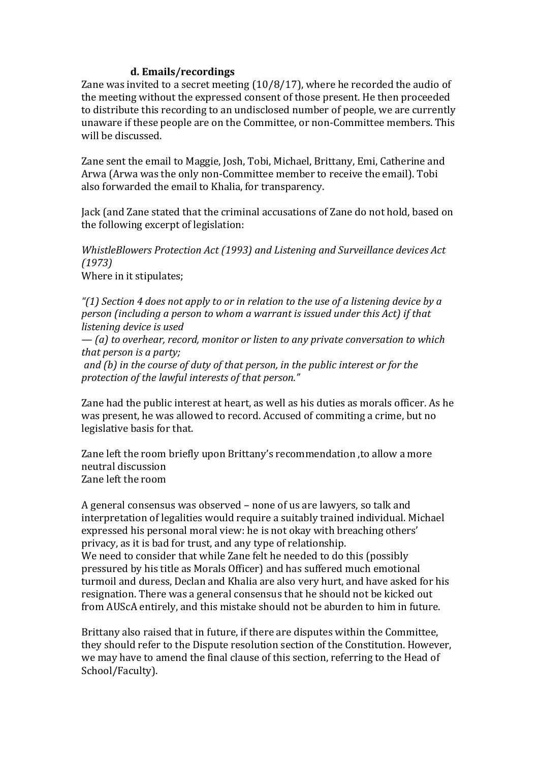### **d. Emails/recordings**

Zane was invited to a secret meeting (10/8/17), where he recorded the audio of the meeting without the expressed consent of those present. He then proceeded to distribute this recording to an undisclosed number of people, we are currently unaware if these people are on the Committee, or non-Committee members. This will be discussed.

Zane sent the email to Maggie, Josh, Tobi, Michael, Brittany, Emi, Catherine and Arwa (Arwa was the only non-Committee member to receive the email). Tobi also forwarded the email to Khalia, for transparency.

Jack (and Zane stated that the criminal accusations of Zane do not hold, based on the following excerpt of legislation:

*WhistleBlowers Protection Act (1993) and Listening and Surveillance devices Act (1973)*

Where in it stipulates;

*"(1) Section 4 does not apply to or in relation to the use of a listening device by a person (including a person to whom a warrant is issued under this Act) if that listening device is used*

*— (a) to overhear, record, monitor or listen to any private conversation to which that person is a party;*

*and (b) in the course of duty of that person, in the public interest or for the protection of the lawful interests of that person."*

Zane had the public interest at heart, as well as his duties as morals officer. As he was present, he was allowed to record. Accused of commiting a crime, but no legislative basis for that.

Zane left the room briefly upon Brittany's recommendation ,to allow a more neutral discussion Zane left the room

A general consensus was observed – none of us are lawyers, so talk and interpretation of legalities would require a suitably trained individual. Michael expressed his personal moral view: he is not okay with breaching others' privacy, as it is bad for trust, and any type of relationship. We need to consider that while Zane felt he needed to do this (possibly

pressured by his title as Morals Officer) and has suffered much emotional turmoil and duress, Declan and Khalia are also very hurt, and have asked for his resignation. There was a general consensus that he should not be kicked out from AUScA entirely, and this mistake should not be aburden to him in future.

Brittany also raised that in future, if there are disputes within the Committee, they should refer to the Dispute resolution section of the Constitution. However, we may have to amend the final clause of this section, referring to the Head of School/Faculty).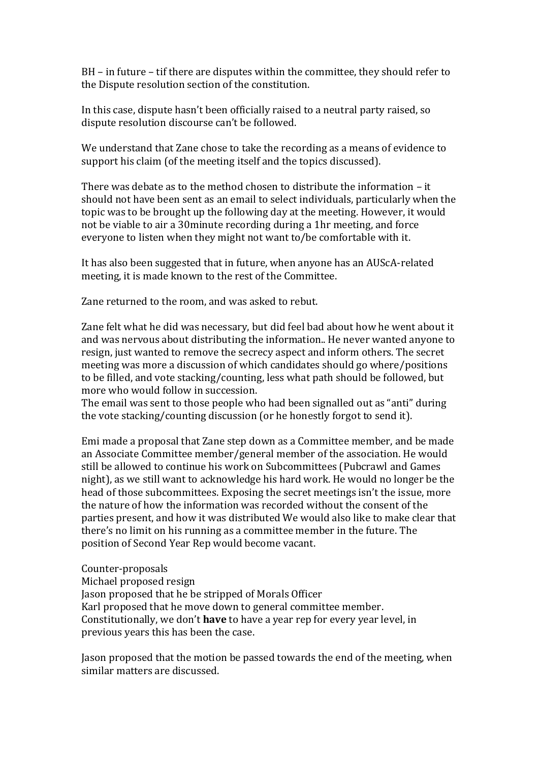BH – in future – tif there are disputes within the committee, they should refer to the Dispute resolution section of the constitution.

In this case, dispute hasn't been officially raised to a neutral party raised, so dispute resolution discourse can't be followed.

We understand that Zane chose to take the recording as a means of evidence to support his claim (of the meeting itself and the topics discussed).

There was debate as to the method chosen to distribute the information – it should not have been sent as an email to select individuals, particularly when the topic was to be brought up the following day at the meeting. However, it would not be viable to air a 30minute recording during a 1hr meeting, and force everyone to listen when they might not want to/be comfortable with it.

It has also been suggested that in future, when anyone has an AUScA-related meeting, it is made known to the rest of the Committee.

Zane returned to the room, and was asked to rebut.

Zane felt what he did was necessary, but did feel bad about how he went about it and was nervous about distributing the information.. He never wanted anyone to resign, just wanted to remove the secrecy aspect and inform others. The secret meeting was more a discussion of which candidates should go where/positions to be filled, and vote stacking/counting, less what path should be followed, but more who would follow in succession.

The email was sent to those people who had been signalled out as "anti" during the vote stacking/counting discussion (or he honestly forgot to send it).

Emi made a proposal that Zane step down as a Committee member, and be made an Associate Committee member/general member of the association. He would still be allowed to continue his work on Subcommittees (Pubcrawl and Games night), as we still want to acknowledge his hard work. He would no longer be the head of those subcommittees. Exposing the secret meetings isn't the issue, more the nature of how the information was recorded without the consent of the parties present, and how it was distributed We would also like to make clear that there's no limit on his running as a committee member in the future. The position of Second Year Rep would become vacant.

Counter-proposals Michael proposed resign Jason proposed that he be stripped of Morals Officer Karl proposed that he move down to general committee member. Constitutionally, we don't **have** to have a year rep for every year level, in previous years this has been the case.

Jason proposed that the motion be passed towards the end of the meeting, when similar matters are discussed.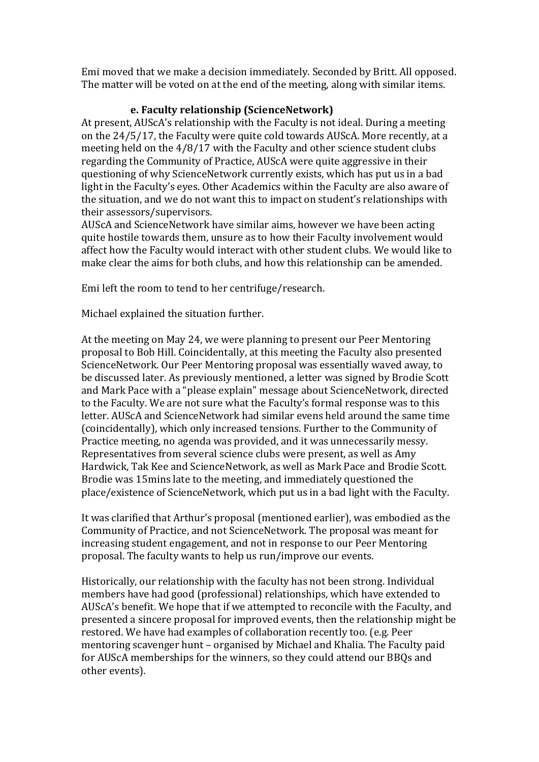Emi moved that we make a decision immediately. Seconded by Britt. All opposed. The matter will be voted on at the end of the meeting, along with similar items.

# **e. Faculty relationship (ScienceNetwork)**

At present, AUScA's relationship with the Faculty is not ideal. During a meeting on the 24/5/17, the Faculty were quite cold towards AUScA. More recently, at a meeting held on the 4/8/17 with the Faculty and other science student clubs regarding the Community of Practice, AUScA were quite aggressive in their questioning of why ScienceNetwork currently exists, which has put us in a bad light in the Faculty's eyes. Other Academics within the Faculty are also aware of the situation, and we do not want this to impact on student's relationships with their assessors/supervisors.

AUScA and ScienceNetwork have similar aims, however we have been acting quite hostile towards them, unsure as to how their Faculty involvement would affect how the Faculty would interact with other student clubs. We would like to make clear the aims for both clubs, and how this relationship can be amended.

Emi left the room to tend to her centrifuge/research.

Michael explained the situation further.

At the meeting on May 24, we were planning to present our Peer Mentoring proposal to Bob Hill. Coincidentally, at this meeting the Faculty also presented ScienceNetwork. Our Peer Mentoring proposal was essentially waved away, to be discussed later. As previously mentioned, a letter was signed by Brodie Scott and Mark Pace with a "please explain" message about ScienceNetwork, directed to the Faculty. We are not sure what the Faculty's formal response was to this letter. AUScA and ScienceNetwork had similar evens held around the same time (coincidentally), which only increased tensions. Further to the Community of Practice meeting, no agenda was provided, and it was unnecessarily messy. Representatives from several science clubs were present, as well as Amy Hardwick, Tak Kee and ScienceNetwork, as well as Mark Pace and Brodie Scott. Brodie was 15mins late to the meeting, and immediately questioned the place/existence of ScienceNetwork, which put us in a bad light with the Faculty.

It was clarified that Arthur's proposal (mentioned earlier), was embodied as the Community of Practice, and not ScienceNetwork. The proposal was meant for increasing student engagement, and not in response to our Peer Mentoring proposal. The faculty wants to help us run/improve our events.

Historically, our relationship with the faculty has not been strong. Individual members have had good (professional) relationships, which have extended to AUScA's benefit. We hope that if we attempted to reconcile with the Faculty, and presented a sincere proposal for improved events, then the relationship might be restored. We have had examples of collaboration recently too. (e.g. Peer mentoring scavenger hunt – organised by Michael and Khalia. The Faculty paid for AUScA memberships for the winners, so they could attend our BBQs and other events).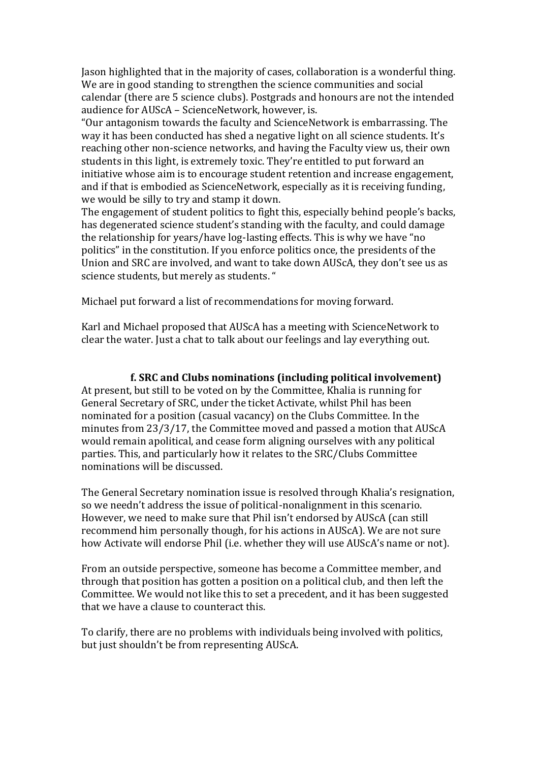Jason highlighted that in the majority of cases, collaboration is a wonderful thing. We are in good standing to strengthen the science communities and social calendar (there are 5 science clubs). Postgrads and honours are not the intended audience for AUScA – ScienceNetwork, however, is.

"Our antagonism towards the faculty and ScienceNetwork is embarrassing. The way it has been conducted has shed a negative light on all science students. It's reaching other non-science networks, and having the Faculty view us, their own students in this light, is extremely toxic. They're entitled to put forward an initiative whose aim is to encourage student retention and increase engagement, and if that is embodied as ScienceNetwork, especially as it is receiving funding, we would be silly to try and stamp it down.

The engagement of student politics to fight this, especially behind people's backs, has degenerated science student's standing with the faculty, and could damage the relationship for years/have log-lasting effects. This is why we have "no politics" in the constitution. If you enforce politics once, the presidents of the Union and SRC are involved, and want to take down AUScA, they don't see us as science students, but merely as students. "

Michael put forward a list of recommendations for moving forward.

Karl and Michael proposed that AUScA has a meeting with ScienceNetwork to clear the water. Just a chat to talk about our feelings and lay everything out.

#### **f. SRC and Clubs nominations (including political involvement)**

At present, but still to be voted on by the Committee, Khalia is running for General Secretary of SRC, under the ticket Activate, whilst Phil has been nominated for a position (casual vacancy) on the Clubs Committee. In the minutes from 23/3/17, the Committee moved and passed a motion that AUScA would remain apolitical, and cease form aligning ourselves with any political parties. This, and particularly how it relates to the SRC/Clubs Committee nominations will be discussed.

The General Secretary nomination issue is resolved through Khalia's resignation, so we needn't address the issue of political-nonalignment in this scenario. However, we need to make sure that Phil isn't endorsed by AUScA (can still recommend him personally though, for his actions in AUScA). We are not sure how Activate will endorse Phil (i.e. whether they will use AUScA's name or not).

From an outside perspective, someone has become a Committee member, and through that position has gotten a position on a political club, and then left the Committee. We would not like this to set a precedent, and it has been suggested that we have a clause to counteract this.

To clarify, there are no problems with individuals being involved with politics, but just shouldn't be from representing AUScA.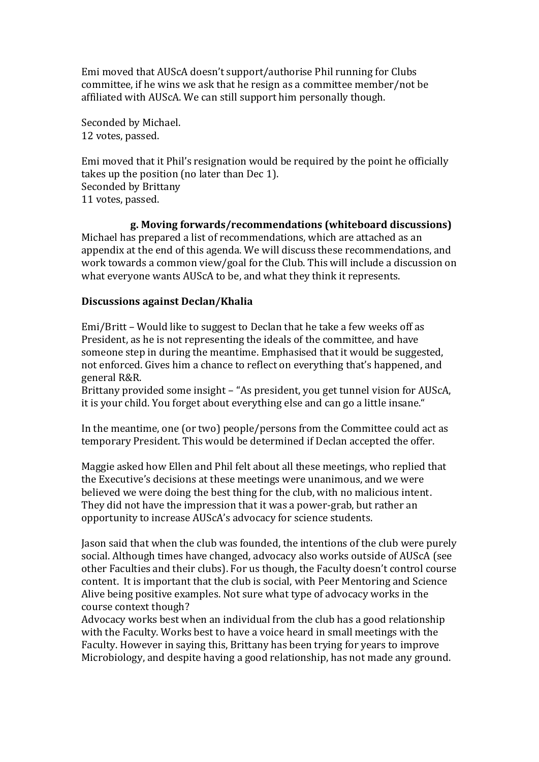Emi moved that AUScA doesn't support/authorise Phil running for Clubs committee, if he wins we ask that he resign as a committee member/not be affiliated with AUScA. We can still support him personally though.

Seconded by Michael. 12 votes, passed.

Emi moved that it Phil's resignation would be required by the point he officially takes up the position (no later than Dec 1). Seconded by Brittany 11 votes, passed.

### **g. Moving forwards/recommendations (whiteboard discussions)**

Michael has prepared a list of recommendations, which are attached as an appendix at the end of this agenda. We will discuss these recommendations, and work towards a common view/goal for the Club. This will include a discussion on what everyone wants AUScA to be, and what they think it represents.

### **Discussions against Declan/Khalia**

Emi/Britt – Would like to suggest to Declan that he take a few weeks off as President, as he is not representing the ideals of the committee, and have someone step in during the meantime. Emphasised that it would be suggested, not enforced. Gives him a chance to reflect on everything that's happened, and general R&R.

Brittany provided some insight – "As president, you get tunnel vision for AUScA, it is your child. You forget about everything else and can go a little insane."

In the meantime, one (or two) people/persons from the Committee could act as temporary President. This would be determined if Declan accepted the offer.

Maggie asked how Ellen and Phil felt about all these meetings, who replied that the Executive's decisions at these meetings were unanimous, and we were believed we were doing the best thing for the club, with no malicious intent. They did not have the impression that it was a power-grab, but rather an opportunity to increase AUScA's advocacy for science students.

Jason said that when the club was founded, the intentions of the club were purely social. Although times have changed, advocacy also works outside of AUScA (see other Faculties and their clubs). For us though, the Faculty doesn't control course content. It is important that the club is social, with Peer Mentoring and Science Alive being positive examples. Not sure what type of advocacy works in the course context though?

Advocacy works best when an individual from the club has a good relationship with the Faculty. Works best to have a voice heard in small meetings with the Faculty. However in saying this, Brittany has been trying for years to improve Microbiology, and despite having a good relationship, has not made any ground.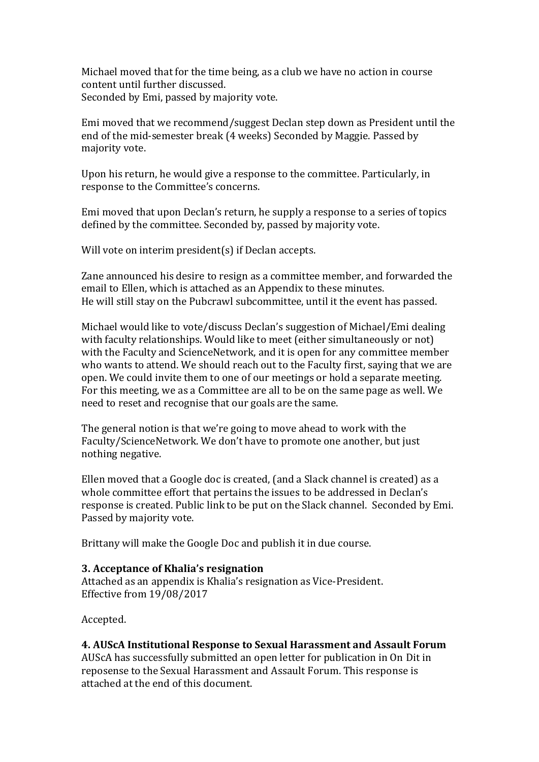Michael moved that for the time being, as a club we have no action in course content until further discussed. Seconded by Emi, passed by majority vote.

Emi moved that we recommend/suggest Declan step down as President until the end of the mid-semester break (4 weeks) Seconded by Maggie. Passed by majority vote.

Upon his return, he would give a response to the committee. Particularly, in response to the Committee's concerns.

Emi moved that upon Declan's return, he supply a response to a series of topics defined by the committee. Seconded by, passed by majority vote.

Will vote on interim president(s) if Declan accepts.

Zane announced his desire to resign as a committee member, and forwarded the email to Ellen, which is attached as an Appendix to these minutes. He will still stay on the Pubcrawl subcommittee, until it the event has passed.

Michael would like to vote/discuss Declan's suggestion of Michael/Emi dealing with faculty relationships. Would like to meet (either simultaneously or not) with the Faculty and ScienceNetwork, and it is open for any committee member who wants to attend. We should reach out to the Faculty first, saying that we are open. We could invite them to one of our meetings or hold a separate meeting. For this meeting, we as a Committee are all to be on the same page as well. We need to reset and recognise that our goals are the same.

The general notion is that we're going to move ahead to work with the Faculty/ScienceNetwork. We don't have to promote one another, but just nothing negative.

Ellen moved that a Google doc is created, (and a Slack channel is created) as a whole committee effort that pertains the issues to be addressed in Declan's response is created. Public link to be put on the Slack channel. Seconded by Emi. Passed by majority vote.

Brittany will make the Google Doc and publish it in due course.

#### **3. Acceptance of Khalia's resignation**

Attached as an appendix is Khalia's resignation as Vice-President. Effective from 19/08/2017

Accepted.

#### **4. AUScA Institutional Response to Sexual Harassment and Assault Forum**

AUScA has successfully submitted an open letter for publication in On Dit in reposense to the Sexual Harassment and Assault Forum. This response is attached at the end of this document.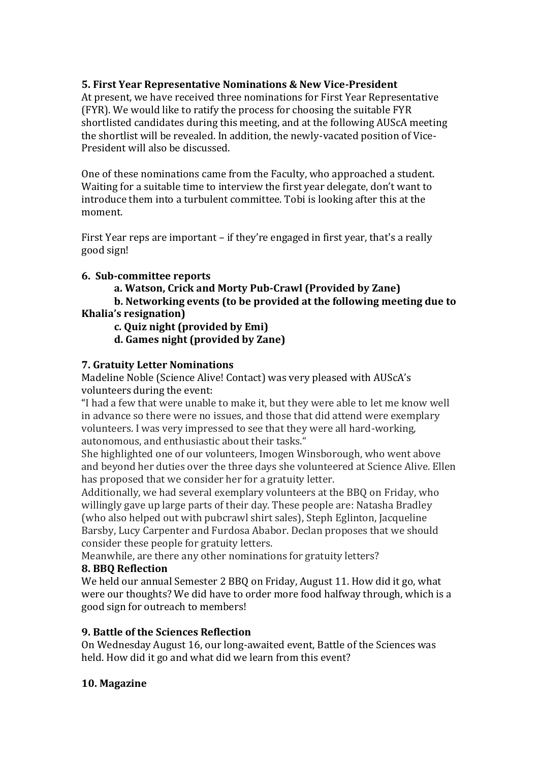# **5. First Year Representative Nominations & New Vice-President**

At present, we have received three nominations for First Year Representative (FYR). We would like to ratify the process for choosing the suitable FYR shortlisted candidates during this meeting, and at the following AUScA meeting the shortlist will be revealed. In addition, the newly-vacated position of Vice-President will also be discussed.

One of these nominations came from the Faculty, who approached a student. Waiting for a suitable time to interview the first year delegate, don't want to introduce them into a turbulent committee. Tobi is looking after this at the moment.

First Year reps are important – if they're engaged in first year, that's a really good sign!

# **6. Sub-committee reports**

**a. Watson, Crick and Morty Pub-Crawl (Provided by Zane)**

**b. Networking events (to be provided at the following meeting due to Khalia's resignation)**

- **c. Quiz night (provided by Emi)**
- **d. Games night (provided by Zane)**

# **7. Gratuity Letter Nominations**

Madeline Noble (Science Alive! Contact) was very pleased with AUScA's volunteers during the event:

"I had a few that were unable to make it, but they were able to let me know well in advance so there were no issues, and those that did attend were exemplary volunteers. I was very impressed to see that they were all hard-working, autonomous, and enthusiastic about their tasks."

She highlighted one of our volunteers, Imogen Winsborough, who went above and beyond her duties over the three days she volunteered at Science Alive. Ellen has proposed that we consider her for a gratuity letter.

Additionally, we had several exemplary volunteers at the BBQ on Friday, who willingly gave up large parts of their day. These people are: Natasha Bradley (who also helped out with pubcrawl shirt sales), Steph Eglinton, Jacqueline Barsby, Lucy Carpenter and Furdosa Ababor. Declan proposes that we should consider these people for gratuity letters.

Meanwhile, are there any other nominations for gratuity letters?

# **8. BBQ Reflection**

We held our annual Semester 2 BBQ on Friday, August 11. How did it go, what were our thoughts? We did have to order more food halfway through, which is a good sign for outreach to members!

# **9. Battle of the Sciences Reflection**

On Wednesday August 16, our long-awaited event, Battle of the Sciences was held. How did it go and what did we learn from this event?

# **10. Magazine**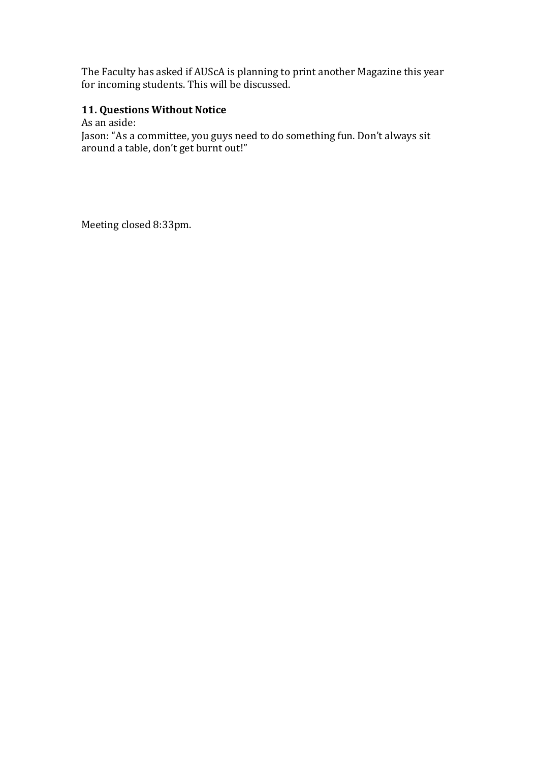The Faculty has asked if AUScA is planning to print another Magazine this year for incoming students. This will be discussed.

# **11. Questions Without Notice**

As an aside:

Jason: "As a committee, you guys need to do something fun. Don't always sit around a table, don't get burnt out!"

Meeting closed 8:33pm.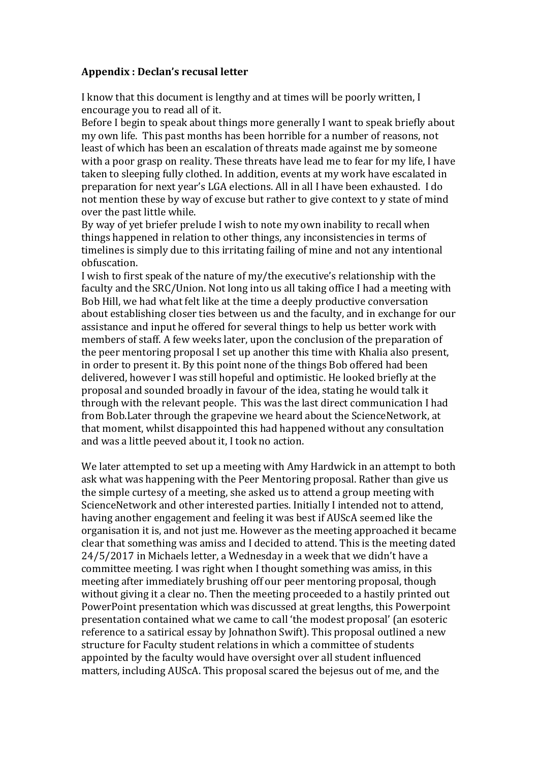### **Appendix : Declan's recusal letter**

I know that this document is lengthy and at times will be poorly written, I encourage you to read all of it.

Before I begin to speak about things more generally I want to speak briefly about my own life. This past months has been horrible for a number of reasons, not least of which has been an escalation of threats made against me by someone with a poor grasp on reality. These threats have lead me to fear for my life, I have taken to sleeping fully clothed. In addition, events at my work have escalated in preparation for next year's LGA elections. All in all I have been exhausted. I do not mention these by way of excuse but rather to give context to y state of mind over the past little while.

By way of yet briefer prelude I wish to note my own inability to recall when things happened in relation to other things, any inconsistencies in terms of timelines is simply due to this irritating failing of mine and not any intentional obfuscation.

I wish to first speak of the nature of my/the executive's relationship with the faculty and the SRC/Union. Not long into us all taking office I had a meeting with Bob Hill, we had what felt like at the time a deeply productive conversation about establishing closer ties between us and the faculty, and in exchange for our assistance and input he offered for several things to help us better work with members of staff. A few weeks later, upon the conclusion of the preparation of the peer mentoring proposal I set up another this time with Khalia also present, in order to present it. By this point none of the things Bob offered had been delivered, however I was still hopeful and optimistic. He looked briefly at the proposal and sounded broadly in favour of the idea, stating he would talk it through with the relevant people. This was the last direct communication I had from Bob.Later through the grapevine we heard about the ScienceNetwork, at that moment, whilst disappointed this had happened without any consultation and was a little peeved about it, I took no action.

We later attempted to set up a meeting with Amy Hardwick in an attempt to both ask what was happening with the Peer Mentoring proposal. Rather than give us the simple curtesy of a meeting, she asked us to attend a group meeting with ScienceNetwork and other interested parties. Initially I intended not to attend, having another engagement and feeling it was best if AUScA seemed like the organisation it is, and not just me. However as the meeting approached it became clear that something was amiss and I decided to attend. This is the meeting dated 24/5/2017 in Michaels letter, a Wednesday in a week that we didn't have a committee meeting. I was right when I thought something was amiss, in this meeting after immediately brushing off our peer mentoring proposal, though without giving it a clear no. Then the meeting proceeded to a hastily printed out PowerPoint presentation which was discussed at great lengths, this Powerpoint presentation contained what we came to call 'the modest proposal' (an esoteric reference to a satirical essay by Johnathon Swift). This proposal outlined a new structure for Faculty student relations in which a committee of students appointed by the faculty would have oversight over all student influenced matters, including AUScA. This proposal scared the bejesus out of me, and the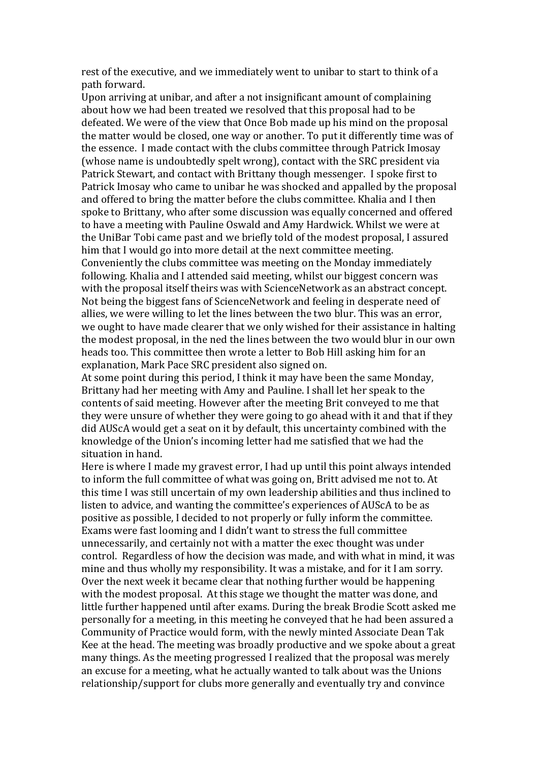rest of the executive, and we immediately went to unibar to start to think of a path forward.

Upon arriving at unibar, and after a not insignificant amount of complaining about how we had been treated we resolved that this proposal had to be defeated. We were of the view that Once Bob made up his mind on the proposal the matter would be closed, one way or another. To put it differently time was of the essence. I made contact with the clubs committee through Patrick Imosay (whose name is undoubtedly spelt wrong), contact with the SRC president via Patrick Stewart, and contact with Brittany though messenger. I spoke first to Patrick Imosay who came to unibar he was shocked and appalled by the proposal and offered to bring the matter before the clubs committee. Khalia and I then spoke to Brittany, who after some discussion was equally concerned and offered to have a meeting with Pauline Oswald and Amy Hardwick. Whilst we were at the UniBar Tobi came past and we briefly told of the modest proposal, I assured him that I would go into more detail at the next committee meeting. Conveniently the clubs committee was meeting on the Monday immediately following. Khalia and I attended said meeting, whilst our biggest concern was with the proposal itself theirs was with ScienceNetwork as an abstract concept. Not being the biggest fans of ScienceNetwork and feeling in desperate need of allies, we were willing to let the lines between the two blur. This was an error, we ought to have made clearer that we only wished for their assistance in halting the modest proposal, in the ned the lines between the two would blur in our own heads too. This committee then wrote a letter to Bob Hill asking him for an explanation, Mark Pace SRC president also signed on.

At some point during this period, I think it may have been the same Monday, Brittany had her meeting with Amy and Pauline. I shall let her speak to the contents of said meeting. However after the meeting Brit conveyed to me that they were unsure of whether they were going to go ahead with it and that if they did AUScA would get a seat on it by default, this uncertainty combined with the knowledge of the Union's incoming letter had me satisfied that we had the situation in hand.

Here is where I made my gravest error, I had up until this point always intended to inform the full committee of what was going on, Britt advised me not to. At this time I was still uncertain of my own leadership abilities and thus inclined to listen to advice, and wanting the committee's experiences of AUScA to be as positive as possible, I decided to not properly or fully inform the committee. Exams were fast looming and I didn't want to stress the full committee unnecessarily, and certainly not with a matter the exec thought was under control. Regardless of how the decision was made, and with what in mind, it was mine and thus wholly my responsibility. It was a mistake, and for it I am sorry. Over the next week it became clear that nothing further would be happening with the modest proposal. At this stage we thought the matter was done, and little further happened until after exams. During the break Brodie Scott asked me personally for a meeting, in this meeting he conveyed that he had been assured a Community of Practice would form, with the newly minted Associate Dean Tak Kee at the head. The meeting was broadly productive and we spoke about a great many things. As the meeting progressed I realized that the proposal was merely an excuse for a meeting, what he actually wanted to talk about was the Unions relationship/support for clubs more generally and eventually try and convince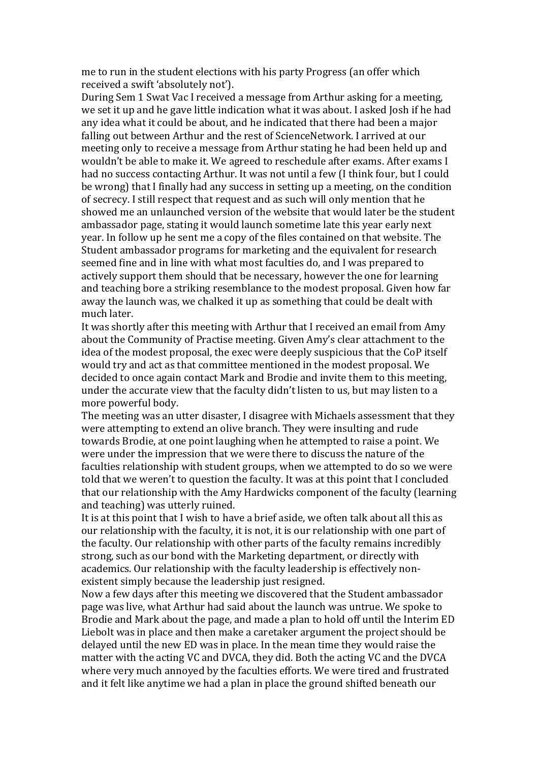me to run in the student elections with his party Progress (an offer which received a swift 'absolutely not').

During Sem 1 Swat Vac I received a message from Arthur asking for a meeting, we set it up and he gave little indication what it was about. I asked Josh if he had any idea what it could be about, and he indicated that there had been a major falling out between Arthur and the rest of ScienceNetwork. I arrived at our meeting only to receive a message from Arthur stating he had been held up and wouldn't be able to make it. We agreed to reschedule after exams. After exams I had no success contacting Arthur. It was not until a few (I think four, but I could be wrong) that I finally had any success in setting up a meeting, on the condition of secrecy. I still respect that request and as such will only mention that he showed me an unlaunched version of the website that would later be the student ambassador page, stating it would launch sometime late this year early next year. In follow up he sent me a copy of the files contained on that website. The Student ambassador programs for marketing and the equivalent for research seemed fine and in line with what most faculties do, and I was prepared to actively support them should that be necessary, however the one for learning and teaching bore a striking resemblance to the modest proposal. Given how far away the launch was, we chalked it up as something that could be dealt with much later.

It was shortly after this meeting with Arthur that I received an email from Amy about the Community of Practise meeting. Given Amy's clear attachment to the idea of the modest proposal, the exec were deeply suspicious that the CoP itself would try and act as that committee mentioned in the modest proposal. We decided to once again contact Mark and Brodie and invite them to this meeting, under the accurate view that the faculty didn't listen to us, but may listen to a more powerful body.

The meeting was an utter disaster, I disagree with Michaels assessment that they were attempting to extend an olive branch. They were insulting and rude towards Brodie, at one point laughing when he attempted to raise a point. We were under the impression that we were there to discuss the nature of the faculties relationship with student groups, when we attempted to do so we were told that we weren't to question the faculty. It was at this point that I concluded that our relationship with the Amy Hardwicks component of the faculty (learning and teaching) was utterly ruined.

It is at this point that I wish to have a brief aside, we often talk about all this as our relationship with the faculty, it is not, it is our relationship with one part of the faculty. Our relationship with other parts of the faculty remains incredibly strong, such as our bond with the Marketing department, or directly with academics. Our relationship with the faculty leadership is effectively nonexistent simply because the leadership just resigned.

Now a few days after this meeting we discovered that the Student ambassador page was live, what Arthur had said about the launch was untrue. We spoke to Brodie and Mark about the page, and made a plan to hold off until the Interim ED Liebolt was in place and then make a caretaker argument the project should be delayed until the new ED was in place. In the mean time they would raise the matter with the acting VC and DVCA, they did. Both the acting VC and the DVCA where very much annoyed by the faculties efforts. We were tired and frustrated and it felt like anytime we had a plan in place the ground shifted beneath our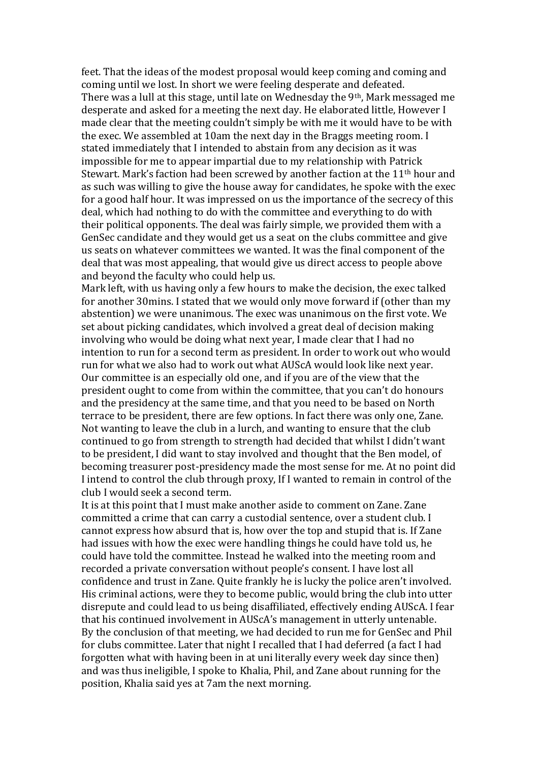feet. That the ideas of the modest proposal would keep coming and coming and coming until we lost. In short we were feeling desperate and defeated. There was a lull at this stage, until late on Wednesday the 9th, Mark messaged me desperate and asked for a meeting the next day. He elaborated little, However I made clear that the meeting couldn't simply be with me it would have to be with the exec. We assembled at 10am the next day in the Braggs meeting room. I stated immediately that I intended to abstain from any decision as it was impossible for me to appear impartial due to my relationship with Patrick Stewart. Mark's faction had been screwed by another faction at the 11<sup>th</sup> hour and as such was willing to give the house away for candidates, he spoke with the exec for a good half hour. It was impressed on us the importance of the secrecy of this deal, which had nothing to do with the committee and everything to do with their political opponents. The deal was fairly simple, we provided them with a GenSec candidate and they would get us a seat on the clubs committee and give us seats on whatever committees we wanted. It was the final component of the deal that was most appealing, that would give us direct access to people above and beyond the faculty who could help us.

Mark left, with us having only a few hours to make the decision, the exec talked for another 30mins. I stated that we would only move forward if (other than my abstention) we were unanimous. The exec was unanimous on the first vote. We set about picking candidates, which involved a great deal of decision making involving who would be doing what next year, I made clear that I had no intention to run for a second term as president. In order to work out who would run for what we also had to work out what AUScA would look like next year. Our committee is an especially old one, and if you are of the view that the president ought to come from within the committee, that you can't do honours and the presidency at the same time, and that you need to be based on North terrace to be president, there are few options. In fact there was only one, Zane. Not wanting to leave the club in a lurch, and wanting to ensure that the club continued to go from strength to strength had decided that whilst I didn't want to be president, I did want to stay involved and thought that the Ben model, of becoming treasurer post-presidency made the most sense for me. At no point did I intend to control the club through proxy, If I wanted to remain in control of the club I would seek a second term.

It is at this point that I must make another aside to comment on Zane. Zane committed a crime that can carry a custodial sentence, over a student club. I cannot express how absurd that is, how over the top and stupid that is. If Zane had issues with how the exec were handling things he could have told us, he could have told the committee. Instead he walked into the meeting room and recorded a private conversation without people's consent. I have lost all confidence and trust in Zane. Quite frankly he is lucky the police aren't involved. His criminal actions, were they to become public, would bring the club into utter disrepute and could lead to us being disaffiliated, effectively ending AUScA. I fear that his continued involvement in AUScA's management in utterly untenable. By the conclusion of that meeting, we had decided to run me for GenSec and Phil for clubs committee. Later that night I recalled that I had deferred (a fact I had forgotten what with having been in at uni literally every week day since then) and was thus ineligible, I spoke to Khalia, Phil, and Zane about running for the position, Khalia said yes at 7am the next morning.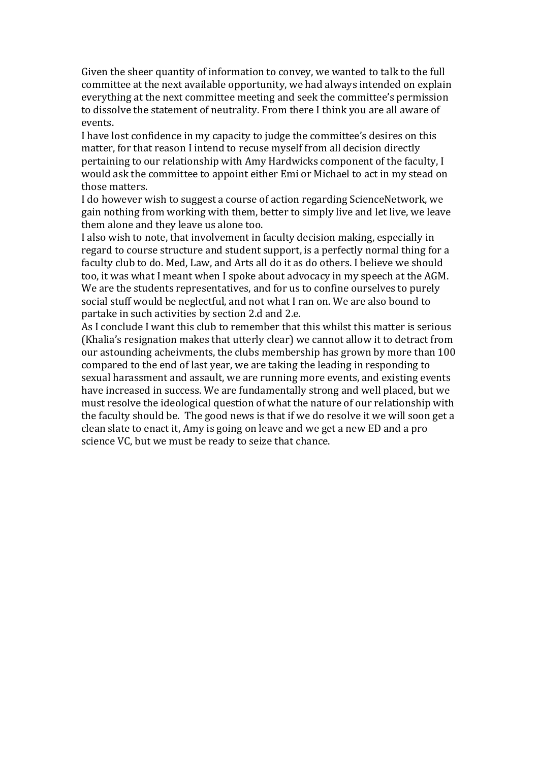Given the sheer quantity of information to convey, we wanted to talk to the full committee at the next available opportunity, we had always intended on explain everything at the next committee meeting and seek the committee's permission to dissolve the statement of neutrality. From there I think you are all aware of events.

I have lost confidence in my capacity to judge the committee's desires on this matter, for that reason I intend to recuse myself from all decision directly pertaining to our relationship with Amy Hardwicks component of the faculty, I would ask the committee to appoint either Emi or Michael to act in my stead on those matters.

I do however wish to suggest a course of action regarding ScienceNetwork, we gain nothing from working with them, better to simply live and let live, we leave them alone and they leave us alone too.

I also wish to note, that involvement in faculty decision making, especially in regard to course structure and student support, is a perfectly normal thing for a faculty club to do. Med, Law, and Arts all do it as do others. I believe we should too, it was what I meant when I spoke about advocacy in my speech at the AGM. We are the students representatives, and for us to confine ourselves to purely social stuff would be neglectful, and not what I ran on. We are also bound to partake in such activities by section 2.d and 2.e.

As I conclude I want this club to remember that this whilst this matter is serious (Khalia's resignation makes that utterly clear) we cannot allow it to detract from our astounding acheivments, the clubs membership has grown by more than 100 compared to the end of last year, we are taking the leading in responding to sexual harassment and assault, we are running more events, and existing events have increased in success. We are fundamentally strong and well placed, but we must resolve the ideological question of what the nature of our relationship with the faculty should be. The good news is that if we do resolve it we will soon get a clean slate to enact it, Amy is going on leave and we get a new ED and a pro science VC, but we must be ready to seize that chance.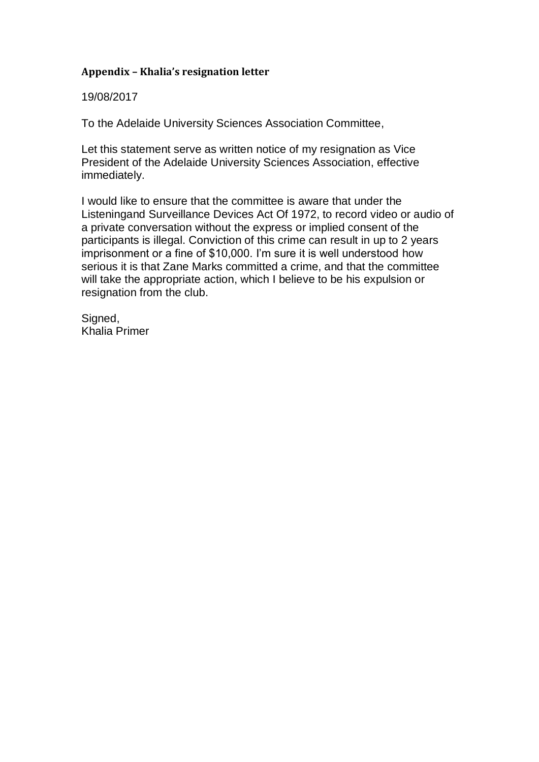# **Appendix – Khalia's resignation letter**

19/08/2017

To the Adelaide University Sciences Association Committee,

Let this statement serve as written notice of my resignation as Vice President of the Adelaide University Sciences Association, effective immediately.

I would like to ensure that the committee is aware that under the Listeningand Surveillance Devices Act Of 1972, to record video or audio of a private conversation without the express or implied consent of the participants is illegal. Conviction of this crime can result in up to 2 years imprisonment or a fine of \$10,000. I'm sure it is well understood how serious it is that Zane Marks committed a crime, and that the committee will take the appropriate action, which I believe to be his expulsion or resignation from the club.

Signed, Khalia Primer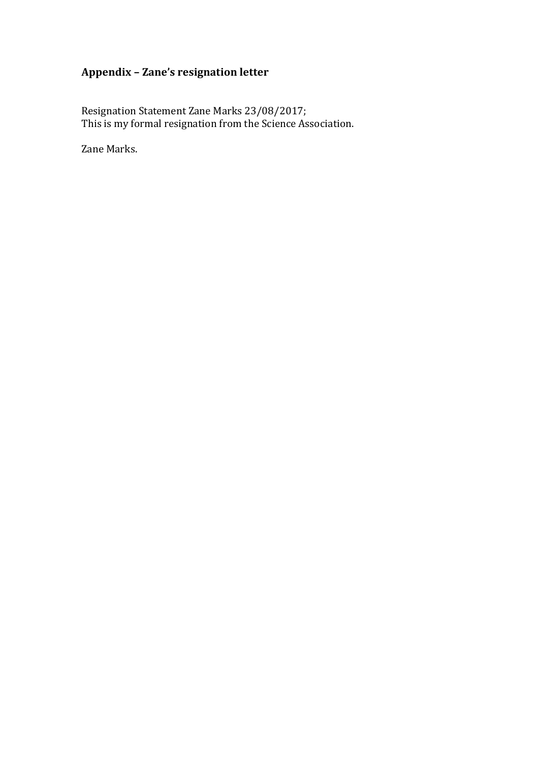# **Appendix – Zane's resignation letter**

Resignation Statement Zane Marks 23/08/2017; This is my formal resignation from the Science Association.

Zane Marks.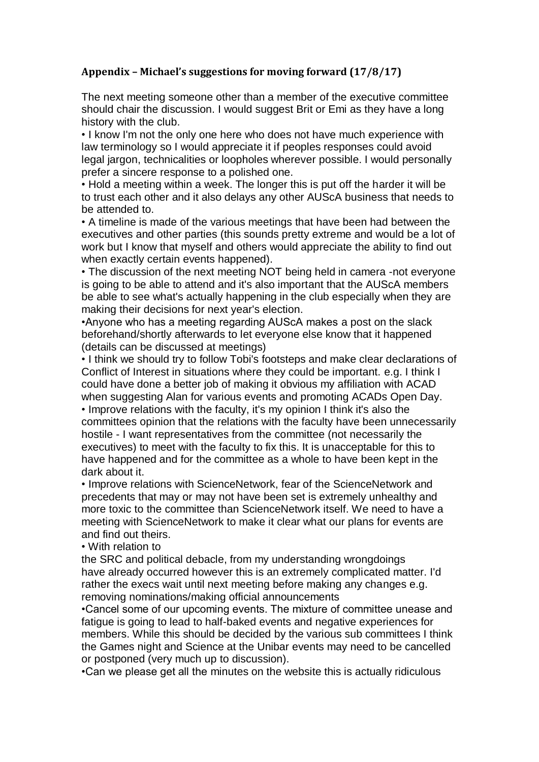# **Appendix – Michael's suggestions for moving forward (17/8/17)**

The next meeting someone other than a member of the executive committee should chair the discussion. I would suggest Brit or Emi as they have a long history with the club.

• I know I'm not the only one here who does not have much experience with law terminology so I would appreciate it if peoples responses could avoid legal jargon, technicalities or loopholes wherever possible. I would personally prefer a sincere response to a polished one.

• Hold a meeting within a week. The longer this is put off the harder it will be to trust each other and it also delays any other AUScA business that needs to be attended to.

• A timeline is made of the various meetings that have been had between the executives and other parties (this sounds pretty extreme and would be a lot of work but I know that myself and others would appreciate the ability to find out when exactly certain events happened).

• The discussion of the next meeting NOT being held in camera -not everyone is going to be able to attend and it's also important that the AUScA members be able to see what's actually happening in the club especially when they are making their decisions for next year's election.

•Anyone who has a meeting regarding AUScA makes a post on the slack beforehand/shortly afterwards to let everyone else know that it happened (details can be discussed at meetings)

• I think we should try to follow Tobi's footsteps and make clear declarations of Conflict of Interest in situations where they could be important. e.g. I think I could have done a better job of making it obvious my affiliation with ACAD when suggesting Alan for various events and promoting ACADs Open Day. • Improve relations with the faculty, it's my opinion I think it's also the committees opinion that the relations with the faculty have been unnecessarily hostile - I want representatives from the committee (not necessarily the executives) to meet with the faculty to fix this. It is unacceptable for this to have happened and for the committee as a whole to have been kept in the dark about it.

• Improve relations with ScienceNetwork, fear of the ScienceNetwork and precedents that may or may not have been set is extremely unhealthy and more toxic to the committee than ScienceNetwork itself. We need to have a meeting with ScienceNetwork to make it clear what our plans for events are and find out theirs.

• With relation to

the SRC and political debacle, from my understanding wrongdoings have already occurred however this is an extremely complicated matter. I'd rather the execs wait until next meeting before making any changes e.g. removing nominations/making official announcements

•Cancel some of our upcoming events. The mixture of committee unease and fatigue is going to lead to half-baked events and negative experiences for members. While this should be decided by the various sub committees I think the Games night and Science at the Unibar events may need to be cancelled or postponed (very much up to discussion).

•Can we please get all the minutes on the website this is actually ridiculous